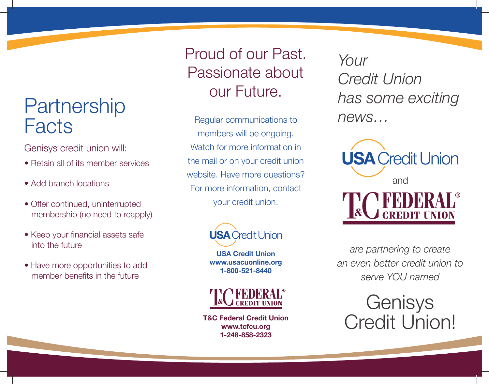## **Partnership Facts**

Genisys credit union will:

- Retain all of its member services
- Add branch locations
- Offer continued, uninterrupted membership (no need to reapply)
- Keep your financial assets safe into the future
- Have more opportunities to add member benefits in the future

Proud of our Past. Passionate about our Future.

Regular communications to members will be ongoing. Watch for more information in the mail or on your credit union website. Have more questions? For more information, contact your credit union.



**USA Credit Union www.usacuonline.org 1-800-521-8440**



**T&C Federal Credit Union www.tcfcu.org 1-248-858-2323**

*Your Credit Union has some exciting news…*



*are partnering to create an even better credit union to serve YOU named*